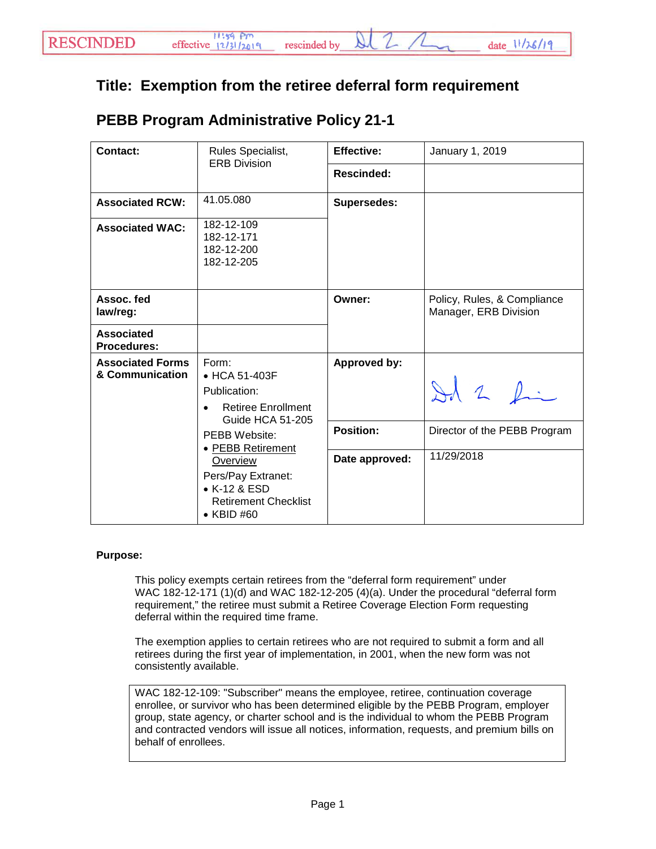## **Title: Exemption from the retiree deferral form requirement**

| <b>Contact:</b>                            | Rules Specialist,<br><b>ERB Division</b>                                                                                 | <b>Effective:</b>  | January 1, 2019                                      |
|--------------------------------------------|--------------------------------------------------------------------------------------------------------------------------|--------------------|------------------------------------------------------|
|                                            |                                                                                                                          | <b>Rescinded:</b>  |                                                      |
| <b>Associated RCW:</b>                     | 41.05.080                                                                                                                | <b>Supersedes:</b> |                                                      |
| <b>Associated WAC:</b>                     | 182-12-109<br>182-12-171<br>182-12-200<br>182-12-205                                                                     |                    |                                                      |
| Assoc. fed<br>law/reg:                     |                                                                                                                          | Owner:             | Policy, Rules, & Compliance<br>Manager, ERB Division |
| <b>Associated</b><br><b>Procedures:</b>    |                                                                                                                          |                    |                                                      |
| <b>Associated Forms</b><br>& Communication | Form:<br>• HCA 51-403F<br>Publication:<br><b>Retiree Enrollment</b><br>Guide HCA 51-205                                  | Approved by:       | $\lambda$ 2 fin                                      |
|                                            | <b>PEBB Website:</b>                                                                                                     | <b>Position:</b>   | Director of the PEBB Program                         |
|                                            | • PEBB Retirement<br>Overview<br>Pers/Pay Extranet:<br>• K-12 & ESD<br><b>Retirement Checklist</b><br>$\bullet$ KBID #60 | Date approved:     | 11/29/2018                                           |

## **PEBB Program Administrative Policy 21-1**

## **Purpose:**

This policy exempts certain retirees from the "deferral form requirement" under WAC 182-12-171 (1)(d) and WAC 182-12-205 (4)(a). Under the procedural "deferral form requirement," the retiree must submit a Retiree Coverage Election Form requesting deferral within the required time frame.

The exemption applies to certain retirees who are not required to submit a form and all retirees during the first year of implementation, in 2001, when the new form was not consistently available.

WAC 182-12-109: "Subscriber" means the employee, retiree, continuation coverage enrollee, or survivor who has been determined eligible by the PEBB Program, employer group, state agency, or charter school and is the individual to whom the PEBB Program and contracted vendors will issue all notices, information, requests, and premium bills on behalf of enrollees.